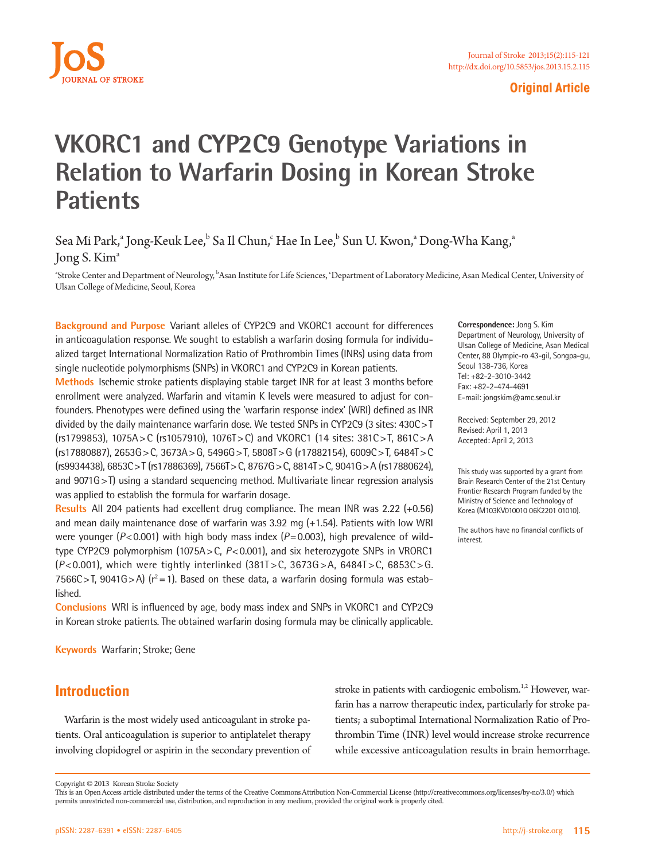

### **Original Article**

# **VKORC1 and CYP2C9 Genotype Variations in Relation to Warfarin Dosing in Korean Stroke Patients**

Sea Mi Park,ª Jong-Keuk Lee, $^{\rm b}$  Sa Il Chun, $^{\rm c}$  Hae In Lee, $^{\rm b}$  Sun U. Kwon,ª Dong-Wha Kang, $^{\rm a}$ Jong S. Kim<sup>a</sup>

<sup>a</sup>Stroke Center and Department of Neurology, <sup>b</sup>Asan Institute for Life Sciences, Department of Laboratory Medicine, Asan Medical Center, University of Ulsan College of Medicine, Seoul, Korea

**Background and Purpose** Variant alleles of CYP2C9 and VKORC1 account for differences in anticoagulation response. We sought to establish a warfarin dosing formula for individualized target International Normalization Ratio of Prothrombin Times (INRs) using data from single nucleotide polymorphisms (SNPs) in VKORC1 and CYP2C9 in Korean patients.

**Methods** Ischemic stroke patients displaying stable target INR for at least 3 months before enrollment were analyzed. Warfarin and vitamin K levels were measured to adjust for confounders. Phenotypes were defined using the 'warfarin response index' (WRI) defined as INR divided by the daily maintenance warfarin dose. We tested SNPs in CYP2C9 (3 sites: 430C>T (rs1799853), 1075A>C (rs1057910), 1076T>C) and VKORC1 (14 sites: 381C>T, 861C>A (rs17880887), 2653G>C, 3673A>G, 5496G>T, 5808T>G (r17882154), 6009C>T, 6484T>C (rs9934438), 6853C>T (rs17886369), 7566T>C, 8767G>C, 8814T>C, 9041G>A (rs17880624), and 9071G>T) using a standard sequencing method. Multivariate linear regression analysis was applied to establish the formula for warfarin dosage.

**Results** All 204 patients had excellent drug compliance. The mean INR was 2.22 (+0.56) and mean daily maintenance dose of warfarin was 3.92 mg (+1.54). Patients with low WRI were younger ( $P < 0.001$ ) with high body mass index ( $P = 0.003$ ), high prevalence of wildtype CYP2C9 polymorphism (1075A>C, *P*<0.001), and six heterozygote SNPs in VRORC1 (*P*<0.001), which were tightly interlinked (381T >C, 3673G >A, 6484T >C, 6853C >G. 7566C>T, 9041G>A) ( $r^2$  = 1). Based on these data, a warfarin dosing formula was established.

**Conclusions** WRI is influenced by age, body mass index and SNPs in VKORC1 and CYP2C9 in Korean stroke patients. The obtained warfarin dosing formula may be clinically applicable.

**Keywords** Warfarin; Stroke; Gene

## **Introduction**

Warfarin is the most widely used anticoagulant in stroke patients. Oral anticoagulation is superior to antiplatelet therapy involving clopidogrel or aspirin in the secondary prevention of stroke in patients with cardiogenic embolism.<sup>1,2</sup> However, warfarin has a narrow therapeutic index, particularly for stroke patients; a suboptimal International Normalization Ratio of Prothrombin Time (INR) level would increase stroke recurrence while excessive anticoagulation results in brain hemorrhage.

**Correspondence:** Jong S. Kim Department of Neurology, University of Ulsan College of Medicine, Asan Medical Center, 88 Olympic-ro 43-gil, Songpa-gu, Seoul 138-736, Korea Tel: +82-2-3010-3442 Fax: +82-2-474-4691 E-mail: jongskim@amc.seoul.kr

Received: September 29, 2012 Revised: April 1, 2013 Accepted: April 2, 2013

This study was supported by a grant from Brain Research Center of the 21st Century Frontier Research Program funded by the Ministry of Science and Technology of Korea (M103KV010010 06K2201 01010).

The authors have no financial conflicts of interest.

Copyright © 2013 Korean Stroke Society

This is an Open Access article distributed under the terms of the Creative Commons Attribution Non-Commercial License (http://creativecommons.org/licenses/by-nc/3.0/) which permits unrestricted non-commercial use, distribution, and reproduction in any medium, provided the original work is properly cited.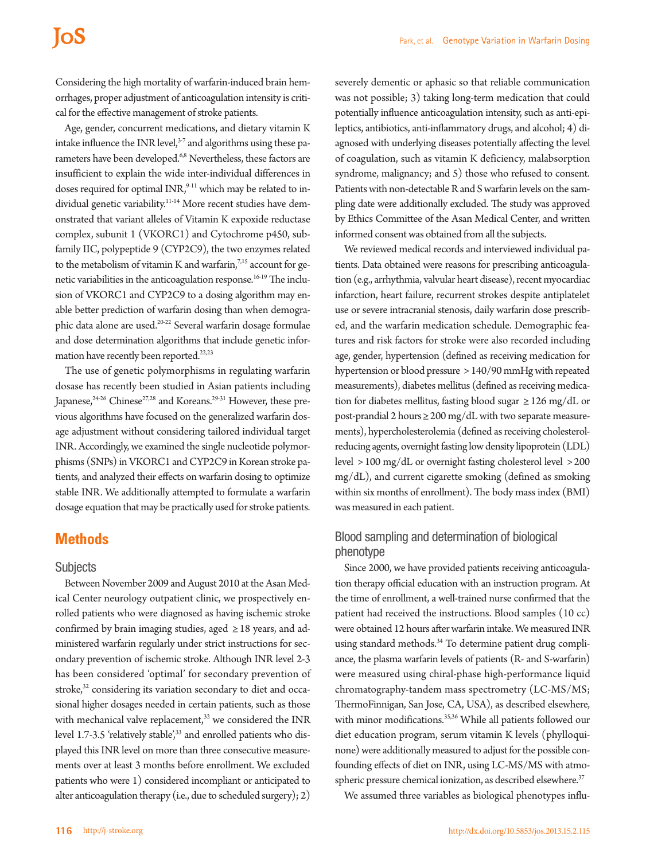Considering the high mortality of warfarin-induced brain hemorrhages, proper adjustment of anticoagulation intensity is critical for the effective management of stroke patients.

Age, gender, concurrent medications, and dietary vitamin K intake influence the INR level, $3-7$  and algorithms using these parameters have been developed.<sup>6,8</sup> Nevertheless, these factors are insufficient to explain the wide inter-individual differences in doses required for optimal  $INR<sub>1</sub><sup>9-11</sup>$  which may be related to individual genetic variability.<sup>11-14</sup> More recent studies have demonstrated that variant alleles of Vitamin K expoxide reductase complex, subunit 1 (VKORC1) and Cytochrome p450, subfamily IIC, polypeptide 9 (CYP2C9), the two enzymes related to the metabolism of vitamin K and warfarin, $7,15$  account for genetic variabilities in the anticoagulation response.<sup>16-19</sup> The inclusion of VKORC1 and CYP2C9 to a dosing algorithm may enable better prediction of warfarin dosing than when demographic data alone are used.<sup>20-22</sup> Several warfarin dosage formulae and dose determination algorithms that include genetic information have recently been reported. $22,23$ 

The use of genetic polymorphisms in regulating warfarin dosase has recently been studied in Asian patients including Japanese,  $24-26$  Chinese<sup>27,28</sup> and Koreans.<sup>29-31</sup> However, these previous algorithms have focused on the generalized warfarin dosage adjustment without considering tailored individual target INR. Accordingly, we examined the single nucleotide polymorphisms (SNPs) in VKORC1 and CYP2C9 in Korean stroke patients, and analyzed their effects on warfarin dosing to optimize stable INR. We additionally attempted to formulate a warfarin dosage equation that may be practically used for stroke patients.

## **Methods**

#### **Subjects**

Between November 2009 and August 2010 at the Asan Medical Center neurology outpatient clinic, we prospectively enrolled patients who were diagnosed as having ischemic stroke confirmed by brain imaging studies, aged ≥ 18 years, and administered warfarin regularly under strict instructions for secondary prevention of ischemic stroke. Although INR level 2-3 has been considered 'optimal' for secondary prevention of stroke,<sup>32</sup> considering its variation secondary to diet and occasional higher dosages needed in certain patients, such as those with mechanical valve replacement, $32$  we considered the INR level 1.7-3.5 'relatively stable',<sup>33</sup> and enrolled patients who displayed this INR level on more than three consecutive measurements over at least 3 months before enrollment. We excluded patients who were 1) considered incompliant or anticipated to alter anticoagulation therapy (i.e., due to scheduled surgery); 2)

severely dementic or aphasic so that reliable communication was not possible; 3) taking long-term medication that could potentially influence anticoagulation intensity, such as anti-epileptics, antibiotics, anti-inflammatory drugs, and alcohol; 4) diagnosed with underlying diseases potentially affecting the level of coagulation, such as vitamin K deficiency, malabsorption syndrome, malignancy; and 5) those who refused to consent. Patients with non-detectable R and S warfarin levels on the sampling date were additionally excluded. The study was approved by Ethics Committee of the Asan Medical Center, and written informed consent was obtained from all the subjects.

We reviewed medical records and interviewed individual patients. Data obtained were reasons for prescribing anticoagulation (e.g., arrhythmia, valvular heart disease), recent myocardiac infarction, heart failure, recurrent strokes despite antiplatelet use or severe intracranial stenosis, daily warfarin dose prescribed, and the warfarin medication schedule. Demographic features and risk factors for stroke were also recorded including age, gender, hypertension (defined as receiving medication for hypertension or blood pressure > 140/90 mmHg with repeated measurements), diabetes mellitus (defined as receiving medication for diabetes mellitus, fasting blood sugar ≥ 126 mg/dL or post-prandial 2 hours  $\geq$  200 mg/dL with two separate measurements), hypercholesterolemia (defined as receiving cholesterolreducing agents, overnight fasting low density lipoprotein (LDL) level > 100 mg/dL or overnight fasting cholesterol level > 200 mg/dL), and current cigarette smoking (defined as smoking within six months of enrollment). The body mass index (BMI) was measured in each patient.

### Blood sampling and determination of biological phenotype

Since 2000, we have provided patients receiving anticoagulation therapy official education with an instruction program. At the time of enrollment, a well-trained nurse confirmed that the patient had received the instructions. Blood samples (10 cc) were obtained 12 hours after warfarin intake. We measured INR using standard methods.<sup>34</sup> To determine patient drug compliance, the plasma warfarin levels of patients (R- and S-warfarin) were measured using chiral-phase high-performance liquid chromatography-tandem mass spectrometry (LC-MS/MS; ThermoFinnigan, San Jose, CA, USA), as described elsewhere, with minor modifications.<sup>35,36</sup> While all patients followed our diet education program, serum vitamin K levels (phylloquinone) were additionally measured to adjust for the possible confounding effects of diet on INR, using LC-MS/MS with atmospheric pressure chemical ionization, as described elsewhere.<sup>37</sup>

We assumed three variables as biological phenotypes influ-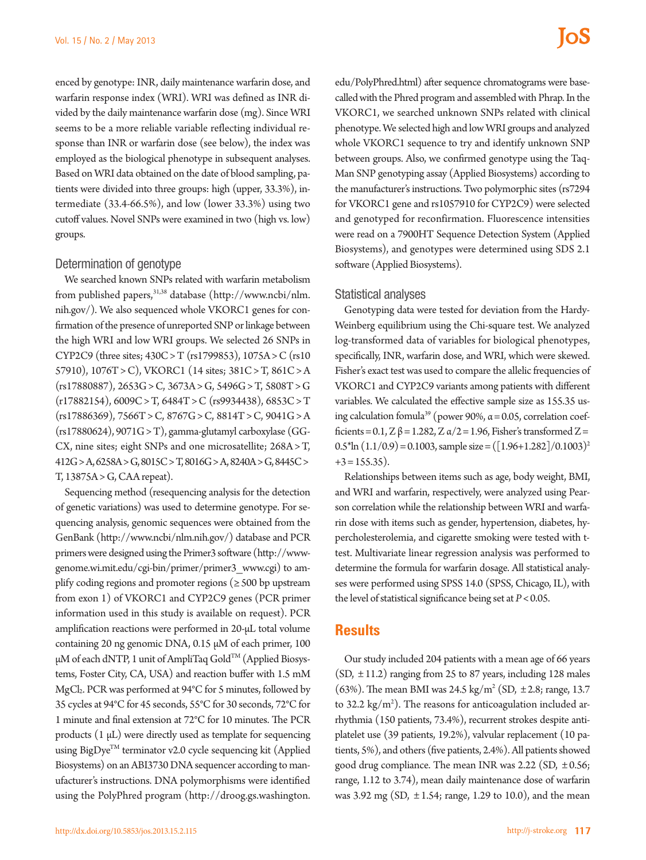enced by genotype: INR, daily maintenance warfarin dose, and warfarin response index (WRI). WRI was defined as INR divided by the daily maintenance warfarin dose (mg). Since WRI seems to be a more reliable variable reflecting individual response than INR or warfarin dose (see below), the index was employed as the biological phenotype in subsequent analyses. Based on WRI data obtained on the date of blood sampling, patients were divided into three groups: high (upper, 33.3%), intermediate (33.4-66.5%), and low (lower 33.3%) using two cutoff values. Novel SNPs were examined in two (high vs. low) groups.

#### Determination of genotype

We searched known SNPs related with warfarin metabolism from published papers,31,38 database (http://www.ncbi/nlm. nih.gov/). We also sequenced whole VKORC1 genes for confirmation of the presence of unreported SNP or linkage between the high WRI and low WRI groups. We selected 26 SNPs in CYP2C9 (three sites; 430C > T (rs1799853), 1075A > C (rs10 57910), 1076T > C), VKORC1 (14 sites; 381C > T, 861C > A  $(rs17880887), 2653G > C, 3673A > G, 5496G > T, 5808T > G$  $(r17882154)$ , 6009C > T, 6484T > C (rs9934438), 6853C > T  $(rs17886369), 7566T > C, 8767G > C, 8814T > C, 9041G > A$ (rs17880624), 9071G > T), gamma-glutamyl carboxylase (GG-CX, nine sites; eight SNPs and one microsatellite; 268A > T, 412G>A, 6258A>G, 8015C>T, 8016G>A, 8240A>G, 8445C> T, 13875A > G, CAA repeat).

Sequencing method (resequencing analysis for the detection of genetic variations) was used to determine genotype. For sequencing analysis, genomic sequences were obtained from the GenBank (http://www.ncbi/nlm.nih.gov/) database and PCR primers were designed using the Primer3 software (http://wwwgenome.wi.mit.edu/cgi-bin/primer/primer3\_www.cgi) to amplify coding regions and promoter regions ( $\geq$  500 bp upstream from exon 1) of VKORC1 and CYP2C9 genes (PCR primer information used in this study is available on request). PCR amplification reactions were performed in 20-µL total volume containing 20 ng genomic DNA, 0.15 µM of each primer, 100 µM of each dNTP, 1 unit of AmpliTaq Gold<sup>™</sup> (Applied Biosystems, Foster City, CA, USA) and reaction buffer with 1.5 mM MgCl2. PCR was performed at 94°C for 5 minutes, followed by 35 cycles at 94°C for 45 seconds, 55°C for 30 seconds, 72°C for 1 minute and final extension at 72°C for 10 minutes. The PCR products  $(1 \mu L)$  were directly used as template for sequencing using BigDye™ terminator v2.0 cycle sequencing kit (Applied Biosystems) on an ABI3730 DNA sequencer according to manufacturer's instructions. DNA polymorphisms were identified using the PolyPhred program (http://droog.gs.washington.

edu/PolyPhred.html) after sequence chromatograms were basecalled with the Phred program and assembled with Phrap. In the VKORC1, we searched unknown SNPs related with clinical phenotype. We selected high and low WRI groups and analyzed whole VKORC1 sequence to try and identify unknown SNP between groups. Also, we confirmed genotype using the Taq-Man SNP genotyping assay (Applied Biosystems) according to the manufacturer's instructions. Two polymorphic sites (rs7294 for VKORC1 gene and rs1057910 for CYP2C9) were selected and genotyped for reconfirmation. Fluorescence intensities were read on a 7900HT Sequence Detection System (Applied Biosystems), and genotypes were determined using SDS 2.1 software (Applied Biosystems).

#### Statistical analyses

Genotyping data were tested for deviation from the Hardy-Weinberg equilibrium using the Chi-square test. We analyzed log-transformed data of variables for biological phenotypes, specifically, INR, warfarin dose, and WRI, which were skewed. Fisher's exact test was used to compare the allelic frequencies of VKORC1 and CYP2C9 variants among patients with different variables. We calculated the effective sample size as 155.35 using calculation fomula<sup>39</sup> (power 90%,  $\alpha$  = 0.05, correlation coefficients =  $0.1$ ,  $Z \beta$  = 1.282,  $Z \alpha/2$  = 1.96, Fisher's transformed  $Z$  =  $0.5*$ ln  $(1.1/0.9) = 0.1003$ , sample size =  $([1.96+1.282]/0.1003)^2$  $+3 = 155.35$ ).

Relationships between items such as age, body weight, BMI, and WRI and warfarin, respectively, were analyzed using Pearson correlation while the relationship between WRI and warfarin dose with items such as gender, hypertension, diabetes, hypercholesterolemia, and cigarette smoking were tested with ttest. Multivariate linear regression analysis was performed to determine the formula for warfarin dosage. All statistical analyses were performed using SPSS 14.0 (SPSS, Chicago, IL), with the level of statistical significance being set at *P*< 0.05.

#### **Results**

Our study included 204 patients with a mean age of 66 years  $(SD, \pm 11.2)$  ranging from 25 to 87 years, including 128 males (63%). The mean BMI was 24.5 kg/m<sup>2</sup> (SD,  $\pm$  2.8; range, 13.7 to 32.2  $\text{kg/m}^2$ ). The reasons for anticoagulation included arrhythmia (150 patients, 73.4%), recurrent strokes despite antiplatelet use (39 patients, 19.2%), valvular replacement (10 patients, 5%), and others (five patients, 2.4%). All patients showed good drug compliance. The mean INR was 2.22 (SD,  $\pm$ 0.56; range, 1.12 to 3.74), mean daily maintenance dose of warfarin was 3.92 mg (SD,  $\pm$ 1.54; range, 1.29 to 10.0), and the mean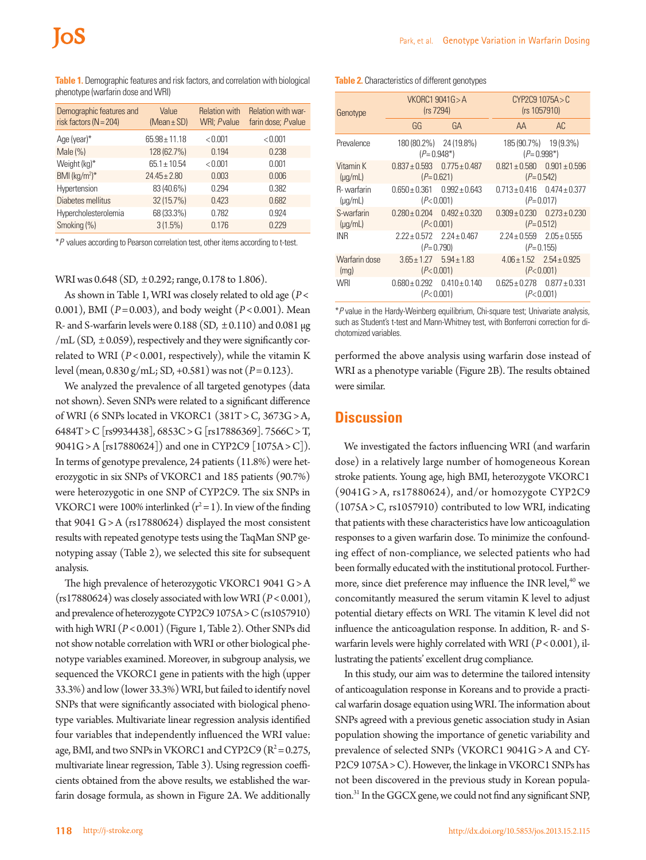**Table 1.** Demographic features and risk factors, and correlation with biological phenotype (warfarin dose and WRI)

| Demographic features and<br>risk factors ( $N = 204$ ) | Value<br>$(Mean \pm SD)$ | <b>Relation with</b><br>WRI; Pvalue | <b>Relation with war-</b><br>farin dose; Pvalue |
|--------------------------------------------------------|--------------------------|-------------------------------------|-------------------------------------------------|
| Age (year)*                                            | $65.98 \pm 11.18$        | < 0.001                             | < 0.001                                         |
| Male $(\%)$                                            | 128 (62.7%)              | 0.194                               | 0.238                                           |
| Weight (kg)*                                           | $65.1 \pm 10.54$         | < 0.001                             | 0.001                                           |
| BMI ( $kg/m2$ )*                                       | $24.45 \pm 2.80$         | 0.003                               | 0.006                                           |
| Hypertension                                           | 83 (40.6%)               | 0.294                               | 0.382                                           |
| Diabetes mellitus                                      | 32 (15.7%)               | 0.423                               | 0.682                                           |
| Hypercholesterolemia                                   | 68 (33.3%)               | 0.782                               | 0.924                                           |
| Smoking (%)                                            | $3(1.5\%)$               | 0.176                               | 0.229                                           |

\**P* values according to Pearson correlation test, other items according to t-test.

WRI was 0.648 (SD, ±0.292; range, 0.178 to 1.806).

As shown in Table 1, WRI was closely related to old age (*P*< 0.001), BMI (*P*= 0.003), and body weight (*P*< 0.001). Mean R- and S-warfarin levels were  $0.188$  (SD,  $\pm 0.110$ ) and  $0.081$  µg /mL (SD,  $\pm$  0.059), respectively and they were significantly correlated to WRI (*P*< 0.001, respectively), while the vitamin K level (mean, 0.830 g/mL; SD, +0.581) was not (*P*= 0.123).

We analyzed the prevalence of all targeted genotypes (data not shown). Seven SNPs were related to a significant difference of WRI (6 SNPs located in VKORC1 (381T > C, 3673G > A, 6484T > C [rs9934438], 6853C > G [rs17886369]. 7566C > T, 9041G > A [rs17880624]) and one in CYP2C9 [1075A > C]). In terms of genotype prevalence, 24 patients (11.8%) were heterozygotic in six SNPs of VKORC1 and 185 patients (90.7%) were heterozygotic in one SNP of CYP2C9. The six SNPs in VKORC1 were 100% interlinked  $(r^2 = 1)$ . In view of the finding that 9041 G > A ( $rs17880624$ ) displayed the most consistent results with repeated genotype tests using the TaqMan SNP genotyping assay (Table 2), we selected this site for subsequent analysis.

The high prevalence of heterozygotic VKORC1 9041 G > A (rs17880624) was closely associated with low WRI (*P*< 0.001), and prevalence of heterozygote CYP2C9 1075A>C (rs1057910) with high WRI (*P*< 0.001) (Figure 1, Table 2). Other SNPs did not show notable correlation with WRI or other biological phenotype variables examined. Moreover, in subgroup analysis, we sequenced the VKORC1 gene in patients with the high (upper 33.3%) and low (lower 33.3%) WRI, but failed to identify novel SNPs that were significantly associated with biological phenotype variables. Multivariate linear regression analysis identified four variables that independently influenced the WRI value: age, BMI, and two SNPs in VKORC1 and CYP2C9 ( $R^2 = 0.275$ , multivariate linear regression, Table 3). Using regression coefficients obtained from the above results, we established the warfarin dosage formula, as shown in Figure 2A. We additionally

#### **Table 2.** Characteristics of different genotypes

| VKORC1 9041G > A<br>(rs 7294) |    | CYP2C9 1075A > C<br>(rs 1057910)                                                                                                                                                                                                                                                                                                                                  |                                                    |
|-------------------------------|----|-------------------------------------------------------------------------------------------------------------------------------------------------------------------------------------------------------------------------------------------------------------------------------------------------------------------------------------------------------------------|----------------------------------------------------|
| GG                            | GA | AA                                                                                                                                                                                                                                                                                                                                                                | AC                                                 |
|                               |    |                                                                                                                                                                                                                                                                                                                                                                   | 185 (90.7%) 19 (9.3%)<br>$(P=0.998^*)$             |
|                               |    |                                                                                                                                                                                                                                                                                                                                                                   | $0.821 \pm 0.580$ $0.901 \pm 0.596$<br>$(P=0.542)$ |
|                               |    |                                                                                                                                                                                                                                                                                                                                                                   | $0.713 \pm 0.416$ $0.474 \pm 0.377$<br>$(P=0.017)$ |
|                               |    |                                                                                                                                                                                                                                                                                                                                                                   | $0.309 \pm 0.230$ $0.273 \pm 0.230$<br>$(P=0.512)$ |
|                               |    |                                                                                                                                                                                                                                                                                                                                                                   | $2.24 \pm 0.559$ $2.05 \pm 0.555$<br>$(P=0.155)$   |
|                               |    |                                                                                                                                                                                                                                                                                                                                                                   | $4.06 \pm 1.52$ $2.54 \pm 0.925$<br>(P< 0.001)     |
|                               |    |                                                                                                                                                                                                                                                                                                                                                                   | $0.625 \pm 0.278$ $0.877 \pm 0.331$<br>(P< 0.001)  |
|                               |    | 180 (80.2%) 24 (19.8%)<br>$(P=0.948^*)$<br>$0.837 \pm 0.593$ $0.775 \pm 0.487$<br>$(P=0.621)$<br>$0.650 \pm 0.361$ $0.992 \pm 0.643$<br>(P< 0.001)<br>$0.280 \pm 0.204$ $0.492 \pm 0.320$<br>(P< 0.001)<br>$2.22 \pm 0.572$ $2.24 \pm 0.467$<br>$(P=0.790)$<br>$3.65 \pm 1.27$ $5.94 \pm 1.83$<br>(P< 0.001)<br>$0.680 \pm 0.292$ $0.410 \pm 0.140$<br>(P< 0.001) |                                                    |

\**P* value in the Hardy-Weinberg equilibrium, Chi-square test; Univariate analysis, such as Student's t-test and Mann-Whitney test, with Bonferroni correction for dichotomized variables.

performed the above analysis using warfarin dose instead of WRI as a phenotype variable (Figure 2B). The results obtained were similar.

## **Discussion**

We investigated the factors influencing WRI (and warfarin dose) in a relatively large number of homogeneous Korean stroke patients. Young age, high BMI, heterozygote VKORC1 (9041G > A, rs17880624), and/or homozygote CYP2C9 (1075A > C, rs1057910) contributed to low WRI, indicating that patients with these characteristics have low anticoagulation responses to a given warfarin dose. To minimize the confounding effect of non-compliance, we selected patients who had been formally educated with the institutional protocol. Furthermore, since diet preference may influence the INR level, $40$  we concomitantly measured the serum vitamin K level to adjust potential dietary effects on WRI. The vitamin K level did not influence the anticoagulation response. In addition, R- and Swarfarin levels were highly correlated with WRI (*P*< 0.001), illustrating the patients' excellent drug compliance.

In this study, our aim was to determine the tailored intensity of anticoagulation response in Koreans and to provide a practical warfarin dosage equation using WRI. The information about SNPs agreed with a previous genetic association study in Asian population showing the importance of genetic variability and prevalence of selected SNPs (VKORC1 9041G > A and CY-P2C9 1075A > C). However, the linkage in VKORC1 SNPs has not been discovered in the previous study in Korean population.<sup>31</sup> In the GGCX gene, we could not find any significant SNP,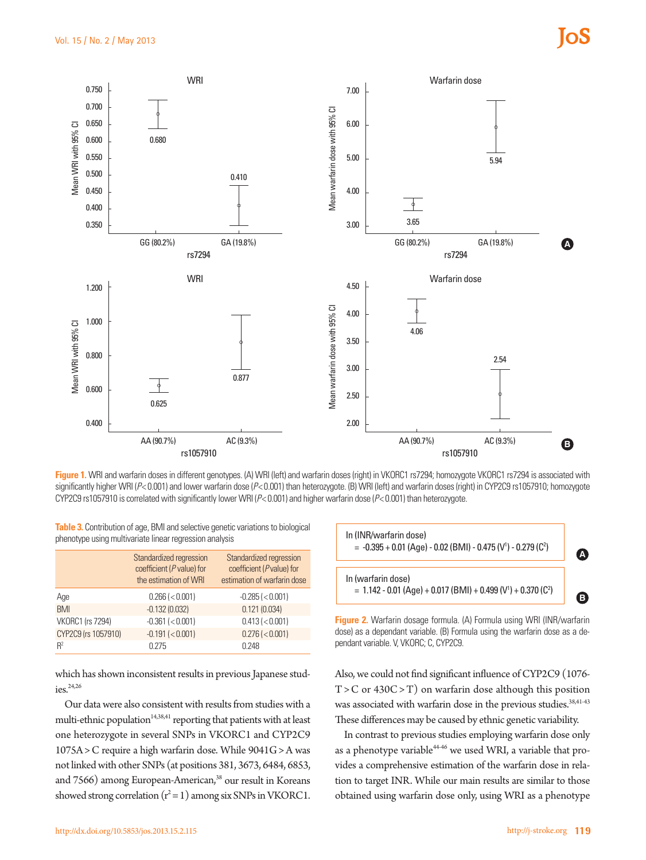

Figure 1. WRI and warfarin doses in different genotypes. (A) WRI (left) and warfarin doses (right) in VKORC1 rs7294; homozygote VKORC1 rs7294 is associated with significantly higher WRI (*P*< 0.001) and lower warfarin dose (*P*< 0.001) than heterozygote. (B) WRI (left) and warfarin doses (right) in CYP2C9 rs1057910; homozygote CYP2C9 rs1057910 is correlated with significantly lower WRI (*P*< 0.001) and higher warfarin dose (*P*< 0.001) than heterozygote.

**Table 3.** Contribution of age, BMI and selective genetic variations to biological phenotype using multivariate linear regression analysis

|                         | Standardized regression<br>coefficient ( $P$ value) for<br>the estimation of WRI | Standardized regression<br>coefficient (Pvalue) for<br>estimation of warfarin dose |
|-------------------------|----------------------------------------------------------------------------------|------------------------------------------------------------------------------------|
| Age                     | $0.266$ (< $0.001$ )                                                             | $-0.285 \left( < 0.001 \right)$                                                    |
| <b>BMI</b>              | $-0.132(0.032)$                                                                  | 0.121(0.034)                                                                       |
| <b>VKORC1 (rs 7294)</b> | $-0.361 (0.001)$                                                                 | 0.413 (< 0.001)                                                                    |
| CYP2C9 (rs 1057910)     | $-0.191 (0.001)$                                                                 | $0.276$ (<0.001)                                                                   |
| $R^2$                   | 0.275                                                                            | 0.248                                                                              |

which has shown inconsistent results in previous Japanese studies.24,26

Our data were also consistent with results from studies with a multi-ethnic population<sup>14,38,41</sup> reporting that patients with at least one heterozygote in several SNPs in VKORC1 and CYP2C9 1075A > C require a high warfarin dose. While 9041G > A was not linked with other SNPs (at positions 381, 3673, 6484, 6853, and 7566) among European-American,<sup>38</sup> our result in Koreans showed strong correlation  $(r^2 = 1)$  among six SNPs in VKORC1.



**Figure 2.** Warfarin dosage formula. (A) Formula using WRI (INR/warfarin dose) as a dependant variable. (B) Formula using the warfarin dose as a dependant variable. V, VKORC; C, CYP2C9.

Also, we could not find significant influence of CYP2C9 (1076-  $T > C$  or  $430C > T$ ) on warfarin dose although this position was associated with warfarin dose in the previous studies.<sup>38,41-43</sup> These differences may be caused by ethnic genetic variability.

In contrast to previous studies employing warfarin dose only as a phenotype variable<sup>44-46</sup> we used WRI, a variable that provides a comprehensive estimation of the warfarin dose in relation to target INR. While our main results are similar to those obtained using warfarin dose only, using WRI as a phenotype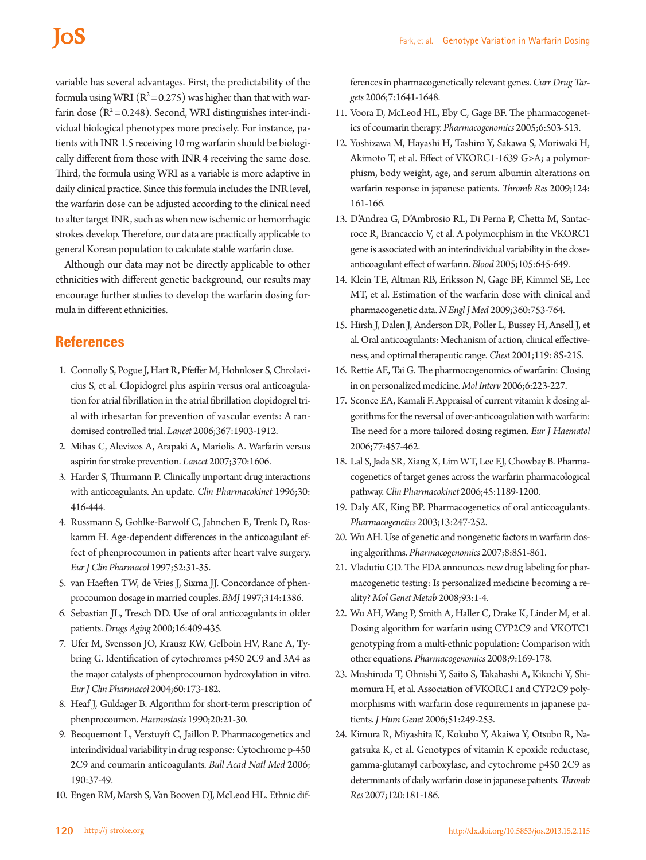## **IoS**

variable has several advantages. First, the predictability of the formula using WRI ( $R^2$  = 0.275) was higher than that with warfarin dose  $(R^2 = 0.248)$ . Second, WRI distinguishes inter-individual biological phenotypes more precisely. For instance, patients with INR 1.5 receiving 10 mg warfarin should be biologically different from those with INR 4 receiving the same dose. Third, the formula using WRI as a variable is more adaptive in daily clinical practice. Since this formula includes the INR level, the warfarin dose can be adjusted according to the clinical need to alter target INR, such as when new ischemic or hemorrhagic strokes develop. Therefore, our data are practically applicable to general Korean population to calculate stable warfarin dose.

Although our data may not be directly applicable to other ethnicities with different genetic background, our results may encourage further studies to develop the warfarin dosing formula in different ethnicities.

## **References**

- 1. Connolly S, Pogue J, Hart R, Pfeffer M, Hohnloser S, Chrolavicius S, et al. Clopidogrel plus aspirin versus oral anticoagulation for atrial fibrillation in the atrial fibrillation clopidogrel trial with irbesartan for prevention of vascular events: A randomised controlled trial. *Lancet* 2006;367:1903-1912.
- 2. Mihas C, Alevizos A, Arapaki A, Mariolis A. Warfarin versus aspirin for stroke prevention. *Lancet* 2007;370:1606.
- 3. Harder S, Thurmann P. Clinically important drug interactions with anticoagulants. An update. *Clin Pharmacokinet* 1996;30: 416-444.
- 4. Russmann S, Gohlke-Barwolf C, Jahnchen E, Trenk D, Roskamm H. Age-dependent differences in the anticoagulant effect of phenprocoumon in patients after heart valve surgery. *Eur J Clin Pharmacol* 1997;52:31-35.
- 5. van Haeften TW, de Vries J, Sixma JJ. Concordance of phenprocoumon dosage in married couples. *BMJ* 1997;314:1386.
- 6. Sebastian JL, Tresch DD. Use of oral anticoagulants in older patients. *Drugs Aging* 2000;16:409-435.
- 7. Ufer M, Svensson JO, Krausz KW, Gelboin HV, Rane A, Tybring G. Identification of cytochromes p450 2C9 and 3A4 as the major catalysts of phenprocoumon hydroxylation in vitro. *Eur J Clin Pharmacol* 2004;60:173-182.
- 8. Heaf J, Guldager B. Algorithm for short-term prescription of phenprocoumon. *Haemostasis* 1990;20:21-30.
- 9. Becquemont L, Verstuyft C, Jaillon P. Pharmacogenetics and interindividual variability in drug response: Cytochrome p-450 2C9 and coumarin anticoagulants. *Bull Acad Natl Med* 2006; 190:37-49.
- 10. Engen RM, Marsh S, Van Booven DJ, McLeod HL. Ethnic dif-

ferences in pharmacogenetically relevant genes. *Curr Drug Targets* 2006;7:1641-1648.

- 11. Voora D, McLeod HL, Eby C, Gage BF. The pharmacogenetics of coumarin therapy. *Pharmacogenomics* 2005;6:503-513.
- 12. Yoshizawa M, Hayashi H, Tashiro Y, Sakawa S, Moriwaki H, Akimoto T, et al. Effect of VKORC1-1639 G>A; a polymorphism, body weight, age, and serum albumin alterations on warfarin response in japanese patients. *Thromb Res* 2009;124: 161-166.
- 13. D'Andrea G, D'Ambrosio RL, Di Perna P, Chetta M, Santacroce R, Brancaccio V, et al. A polymorphism in the VKORC1 gene is associated with an interindividual variability in the doseanticoagulant effect of warfarin. *Blood* 2005;105:645-649.
- 14. Klein TE, Altman RB, Eriksson N, Gage BF, Kimmel SE, Lee MT, et al. Estimation of the warfarin dose with clinical and pharmacogenetic data. *N Engl J Med* 2009;360:753-764.
- 15. Hirsh J, Dalen J, Anderson DR, Poller L, Bussey H, Ansell J, et al. Oral anticoagulants: Mechanism of action, clinical effectiveness, and optimal therapeutic range. *Chest* 2001;119: 8S-21S.
- 16. Rettie AE, Tai G. The pharmocogenomics of warfarin: Closing in on personalized medicine. *Mol Interv* 2006;6:223-227.
- 17. Sconce EA, Kamali F. Appraisal of current vitamin k dosing algorithms for the reversal of over-anticoagulation with warfarin: The need for a more tailored dosing regimen. *Eur J Haematol* 2006;77:457-462.
- 18. Lal S, Jada SR, Xiang X, Lim WT, Lee EJ, Chowbay B. Pharmacogenetics of target genes across the warfarin pharmacological pathway. *Clin Pharmacokinet* 2006;45:1189-1200.
- 19. Daly AK, King BP. Pharmacogenetics of oral anticoagulants. *Pharmacogenetics* 2003;13:247-252.
- 20. Wu AH. Use of genetic and nongenetic factors in warfarin dosing algorithms. *Pharmacogenomics* 2007;8:851-861.
- 21. Vladutiu GD. The FDA announces new drug labeling for pharmacogenetic testing: Is personalized medicine becoming a reality? *Mol Genet Metab* 2008;93:1-4.
- 22. Wu AH, Wang P, Smith A, Haller C, Drake K, Linder M, et al. Dosing algorithm for warfarin using CYP2C9 and VKOTC1 genotyping from a multi-ethnic population: Comparison with other equations. *Pharmacogenomics* 2008;9:169-178.
- 23. Mushiroda T, Ohnishi Y, Saito S, Takahashi A, Kikuchi Y, Shimomura H, et al. Association of VKORC1 and CYP2C9 polymorphisms with warfarin dose requirements in japanese patients. *J Hum Genet* 2006;51:249-253.
- 24. Kimura R, Miyashita K, Kokubo Y, Akaiwa Y, Otsubo R, Nagatsuka K, et al. Genotypes of vitamin K epoxide reductase, gamma-glutamyl carboxylase, and cytochrome p450 2C9 as determinants of daily warfarin dose in japanese patients. *Thromb Res* 2007;120:181-186.